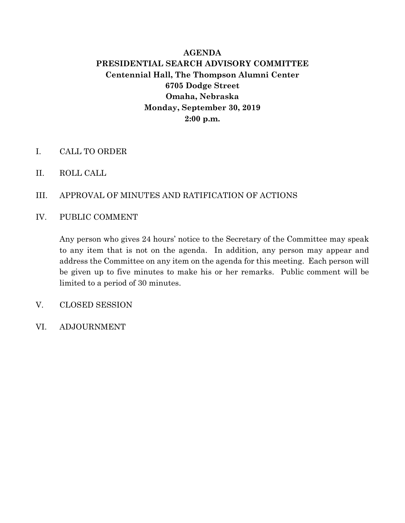## **AGENDA PRESIDENTIAL SEARCH ADVISORY COMMITTEE Centennial Hall, The Thompson Alumni Center 6705 Dodge Street Omaha, Nebraska Monday, September 30, 2019 2:00 p.m.**

- I. CALL TO ORDER
- II. ROLL CALL
- III. APPROVAL OF MINUTES AND RATIFICATION OF ACTIONS
- IV. PUBLIC COMMENT

Any person who gives 24 hours' notice to the Secretary of the Committee may speak to any item that is not on the agenda. In addition, any person may appear and address the Committee on any item on the agenda for this meeting. Each person will be given up to five minutes to make his or her remarks. Public comment will be limited to a period of 30 minutes.

- V. CLOSED SESSION
- VI. ADJOURNMENT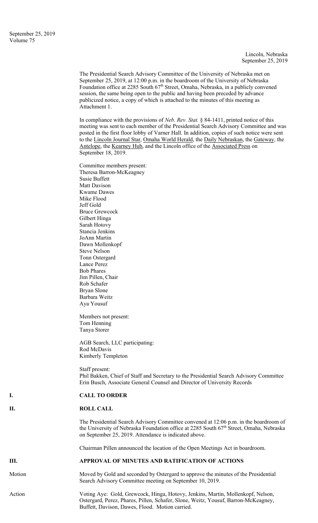Lincoln, Nebraska September 25, 2019

The Presidential Search Advisory Committee of the University of Nebraska met on September 25, 2019, at 12:00 p.m. in the boardroom of the University of Nebraska Foundation office at 2285 South 67<sup>th</sup> Street, Omaha, Nebraska, in a publicly convened session, the same being open to the public and having been preceded by advance publicized notice, a copy of which is attached to the minutes of this meeting as Attachment 1.

In compliance with the provisions of *Neb. Rev. Stat.* § 84-1411, printed notice of this meeting was sent to each member of the Presidential Search Advisory Committee and was posted in the first floor lobby of Varner Hall. In addition, copies of such notice were sent to the Lincoln Journal Star, Omaha World Herald, the Daily Nebraskan, the Gateway, the Antelope, the Kearney Hub, and the Lincoln office of the Associated Press on September 18, 2019.

|        | Committee members present:                                                                                                                                          |
|--------|---------------------------------------------------------------------------------------------------------------------------------------------------------------------|
|        | Theresa Barron-McKeagney                                                                                                                                            |
|        | <b>Susie Buffett</b>                                                                                                                                                |
|        | Matt Davison                                                                                                                                                        |
|        | <b>Kwame Dawes</b>                                                                                                                                                  |
|        | Mike Flood                                                                                                                                                          |
|        | Jeff Gold                                                                                                                                                           |
|        | <b>Bruce Grewcock</b>                                                                                                                                               |
|        | Gilbert Hinga                                                                                                                                                       |
|        | Sarah Hotovy                                                                                                                                                        |
|        | Stancia Jenkins                                                                                                                                                     |
|        | JoAnn Martin                                                                                                                                                        |
|        | Dawn Mollenkopf                                                                                                                                                     |
|        | <b>Steve Nelson</b>                                                                                                                                                 |
|        | Tonn Ostergard                                                                                                                                                      |
|        | Lance Perez                                                                                                                                                         |
|        | <b>Bob Phares</b>                                                                                                                                                   |
|        | Jim Pillen, Chair                                                                                                                                                   |
|        | Rob Schafer                                                                                                                                                         |
|        | Bryan Slone                                                                                                                                                         |
|        | Barbara Weitz                                                                                                                                                       |
|        | Aya Yousuf                                                                                                                                                          |
|        | Members not present:                                                                                                                                                |
|        | Tom Henning                                                                                                                                                         |
|        | Tanya Storer                                                                                                                                                        |
|        | AGB Search, LLC participating:                                                                                                                                      |
|        | Rod McDavis                                                                                                                                                         |
|        | Kimberly Templeton                                                                                                                                                  |
|        | Staff present:                                                                                                                                                      |
|        | Phil Bakken, Chief of Staff and Secretary to the Presidential Search Advisory Committee<br>Erin Busch, Associate General Counsel and Director of University Records |
|        |                                                                                                                                                                     |
| I.     | <b>CALL TO ORDER</b>                                                                                                                                                |
| П.     | <b>ROLL CALL</b>                                                                                                                                                    |
|        | The Presidential Search Advisory Committee convened at 12:06 p.m. in the boardroom of                                                                               |
|        | the University of Nebraska Foundation office at 2285 South 67th Street, Omaha, Nebraska                                                                             |
|        | on September 25, 2019. Attendance is indicated above.                                                                                                               |
|        | Chairman Pillen announced the location of the Open Meetings Act in boardroom.                                                                                       |
| Ш.     | APPROVAL OF MINUTES AND RATIFICATION OF ACTIONS                                                                                                                     |
| Motion | Moved by Gold and seconded by Ostergard to approve the minutes of the Presidential                                                                                  |
|        | Search Advisory Committee meeting on September 10, 2019.                                                                                                            |
| Action | Voting Aye: Gold, Grewcock, Hinga, Hotovy, Jenkins, Martin, Mollenkopf, Nelson,                                                                                     |
|        | Ostergard, Perez, Phares, Pillen, Schafer, Slone, Weitz, Yousuf, Barron-McKeagney,<br>Buffett, Davison, Dawes, Flood. Motion carried.                               |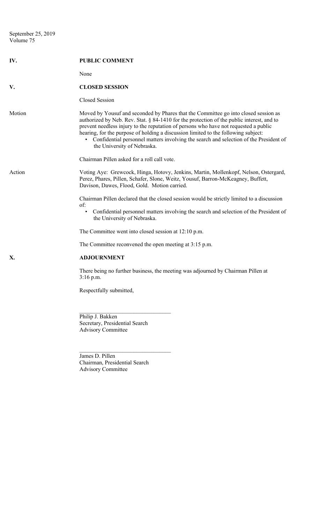| IV.    | <b>PUBLIC COMMENT</b>                                                                                                                                                                                                                                                                                                                                                                                                                                                                    |
|--------|------------------------------------------------------------------------------------------------------------------------------------------------------------------------------------------------------------------------------------------------------------------------------------------------------------------------------------------------------------------------------------------------------------------------------------------------------------------------------------------|
|        | None                                                                                                                                                                                                                                                                                                                                                                                                                                                                                     |
| V.     | <b>CLOSED SESSION</b>                                                                                                                                                                                                                                                                                                                                                                                                                                                                    |
|        | Closed Session                                                                                                                                                                                                                                                                                                                                                                                                                                                                           |
| Motion | Moved by Yousuf and seconded by Phares that the Committee go into closed session as<br>authorized by Neb. Rev. Stat. § 84-1410 for the protection of the public interest, and to<br>prevent needless injury to the reputation of persons who have not requested a public<br>hearing, for the purpose of holding a discussion limited to the following subject:<br>• Confidential personnel matters involving the search and selection of the President of<br>the University of Nebraska. |
|        | Chairman Pillen asked for a roll call vote.                                                                                                                                                                                                                                                                                                                                                                                                                                              |
| Action | Voting Aye: Grewcock, Hinga, Hotovy, Jenkins, Martin, Mollenkopf, Nelson, Ostergard,<br>Perez, Phares, Pillen, Schafer, Slone, Weitz, Yousuf, Barron-McKeagney, Buffett,<br>Davison, Dawes, Flood, Gold. Motion carried.                                                                                                                                                                                                                                                                 |
|        | Chairman Pillen declared that the closed session would be strictly limited to a discussion                                                                                                                                                                                                                                                                                                                                                                                               |
|        | of:<br>Confidential personnel matters involving the search and selection of the President of<br>$\bullet$<br>the University of Nebraska.                                                                                                                                                                                                                                                                                                                                                 |
|        | The Committee went into closed session at 12:10 p.m.                                                                                                                                                                                                                                                                                                                                                                                                                                     |
|        | The Committee reconvened the open meeting at 3:15 p.m.                                                                                                                                                                                                                                                                                                                                                                                                                                   |
| X.     | <b>ADJOURNMENT</b>                                                                                                                                                                                                                                                                                                                                                                                                                                                                       |
|        | There being no further business, the meeting was adjourned by Chairman Pillen at<br>$3:16$ p.m.                                                                                                                                                                                                                                                                                                                                                                                          |
|        | Respectfully submitted,                                                                                                                                                                                                                                                                                                                                                                                                                                                                  |
|        | Philip J. Bakken<br>Secretary, Presidential Search<br><b>Advisory Committee</b>                                                                                                                                                                                                                                                                                                                                                                                                          |

James D. Pillen Chairman, Presidential Search Advisory Committee

 $\mathcal{L}_\text{max}$